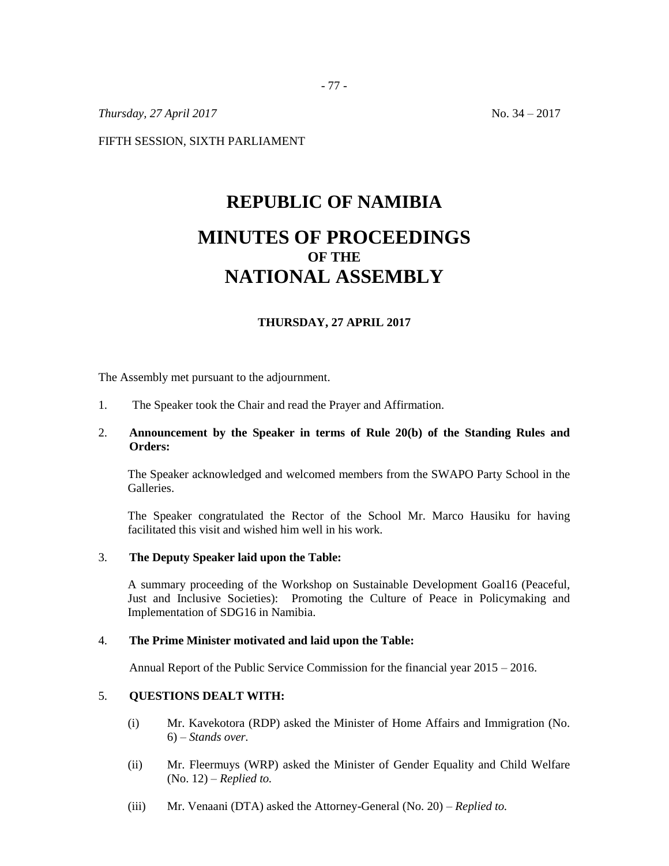*Thursday, 27 April 2017* No. 34 – 2017

FIFTH SESSION, SIXTH PARLIAMENT

# **REPUBLIC OF NAMIBIA MINUTES OF PROCEEDINGS OF THE NATIONAL ASSEMBLY**

# **THURSDAY, 27 APRIL 2017**

The Assembly met pursuant to the adjournment.

1. The Speaker took the Chair and read the Prayer and Affirmation.

# 2. **Announcement by the Speaker in terms of Rule 20(b) of the Standing Rules and Orders:**

The Speaker acknowledged and welcomed members from the SWAPO Party School in the Galleries.

The Speaker congratulated the Rector of the School Mr. Marco Hausiku for having facilitated this visit and wished him well in his work.

#### 3. **The Deputy Speaker laid upon the Table:**

A summary proceeding of the Workshop on Sustainable Development Goal16 (Peaceful, Just and Inclusive Societies): Promoting the Culture of Peace in Policymaking and Implementation of SDG16 in Namibia.

#### 4. **The Prime Minister motivated and laid upon the Table:**

Annual Report of the Public Service Commission for the financial year 2015 – 2016.

# 5. **QUESTIONS DEALT WITH:**

- (i) Mr. Kavekotora (RDP) asked the Minister of Home Affairs and Immigration (No. 6) – *Stands over.*
- (ii) Mr. Fleermuys (WRP) asked the Minister of Gender Equality and Child Welfare (No. 12) – *Replied to.*
- (iii) Mr. Venaani (DTA) asked the Attorney-General (No. 20) *Replied to.*